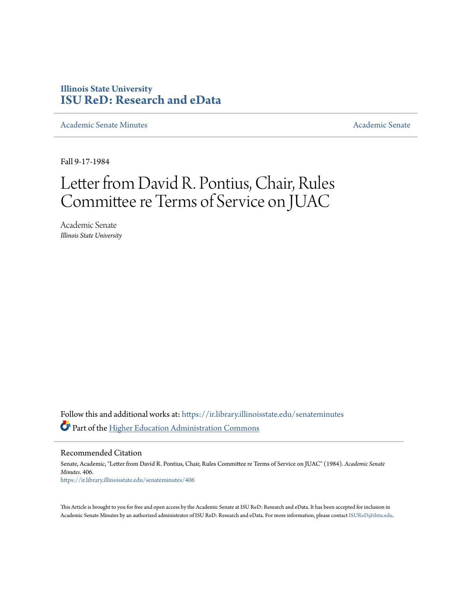### **Illinois State University [ISU ReD: Research and eData](https://ir.library.illinoisstate.edu?utm_source=ir.library.illinoisstate.edu%2Fsenateminutes%2F406&utm_medium=PDF&utm_campaign=PDFCoverPages)**

[Academic Senate Minutes](https://ir.library.illinoisstate.edu/senateminutes?utm_source=ir.library.illinoisstate.edu%2Fsenateminutes%2F406&utm_medium=PDF&utm_campaign=PDFCoverPages) [Academic Senate](https://ir.library.illinoisstate.edu/senate?utm_source=ir.library.illinoisstate.edu%2Fsenateminutes%2F406&utm_medium=PDF&utm_campaign=PDFCoverPages) Academic Senate

Fall 9-17-1984

# Letter from David R. Pontius, Chair, Rules Committee re Terms of Service on JUAC

Academic Senate *Illinois State University*

Follow this and additional works at: [https://ir.library.illinoisstate.edu/senateminutes](https://ir.library.illinoisstate.edu/senateminutes?utm_source=ir.library.illinoisstate.edu%2Fsenateminutes%2F406&utm_medium=PDF&utm_campaign=PDFCoverPages) Part of the [Higher Education Administration Commons](http://network.bepress.com/hgg/discipline/791?utm_source=ir.library.illinoisstate.edu%2Fsenateminutes%2F406&utm_medium=PDF&utm_campaign=PDFCoverPages)

Recommended Citation

Senate, Academic, "Letter from David R. Pontius, Chair, Rules Committee re Terms of Service on JUAC" (1984). *Academic Senate Minutes*. 406. [https://ir.library.illinoisstate.edu/senateminutes/406](https://ir.library.illinoisstate.edu/senateminutes/406?utm_source=ir.library.illinoisstate.edu%2Fsenateminutes%2F406&utm_medium=PDF&utm_campaign=PDFCoverPages)

This Article is brought to you for free and open access by the Academic Senate at ISU ReD: Research and eData. It has been accepted for inclusion in Academic Senate Minutes by an authorized administrator of ISU ReD: Research and eData. For more information, please contact [ISUReD@ilstu.edu.](mailto:ISUReD@ilstu.edu)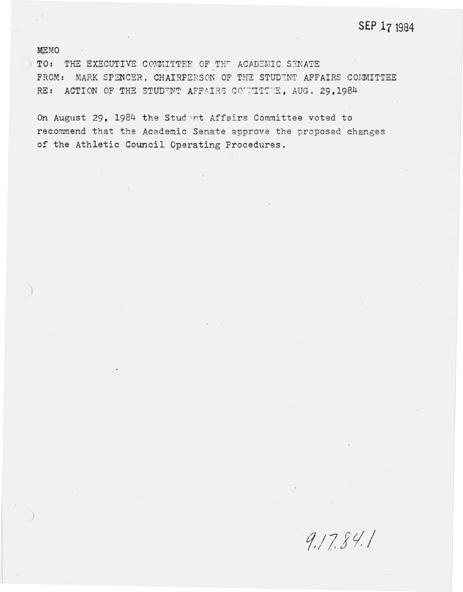## SEP 17 1984

**MEMO** 

TO: THE EXECUTIVE COMMITTEE OF THE ACADEMIC SENATE FROM: MARK SPENCER, CHAIRPERSON OF THE STUDENT AFFAIRS COMMITTEE RE: ACTION OF THE STUDENT AFFAIRS COUNTITEE, AUG. 29,1984

On August 29, 1984 the Student Affairs Committee voted to recommend that the Academic Senate approve the proposed changes of the Athletic Council Operating Procedures.

 $9.17.84.1$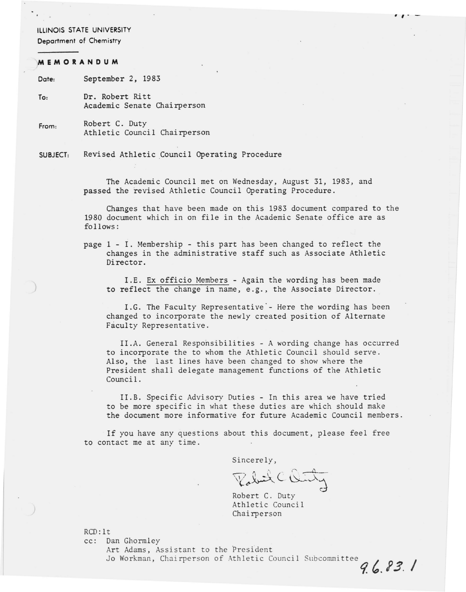#### ILLINOIS STATE UNIVERSITY

Deportment of Chemistry

#### **MEMORANDUM**

)

Date: September 2, 1983

To: Dr. Robert Ritt Academic Senate Chairperson

From: Robert C. Duty Athletic Council Chairperson

SUBJECT: Revised Athletic Council Operating Procedure

> The Academic Council met on Wednesday, August 31, 1983, and passed the revised Athletic Council Operating Procedure.

Changes that have been made on this 1983 document compared to the 1980 document which in on file in the Academic Senate office are as follows:

 $\cdot$   $\cdot$   $\cdot$ 

page 1 - I. Membership - this part has been changed to reflect the changes in the administrative staff such as Associate Athletic Director.

I.E. Ex officio Members - Again the wording has been made to reflect the change in name, e.g., the Associate Director.

I.G. The Faculty Representative - Here the wording has been changed to incorporate the newly created position of Alternate Faculty Representative.

II.A. General Responsibilities - A wording change has occurred to incorporate the to whom the Athletic Council should serve. Also, the last lines have been changed to show where the President shall delegate management functions of the Athletic Council.

II.B. Specific Advisory Duties - In this area we have tried to be more specific in what these duties are which should make the document more informative for future Academic Council members.

If you have any questions about this document, please feel free to contact me at any time .

Sincerely,

sincerely,<br>Valuit C Ourty ~

Robert C. Duty Athletic Council Chai rperson

RCD: It

cc: Dan Ghormley

Art Adams, Assistant to the President Jo Workman, Chairperson of Athletic Council Subcommittee 96.83.